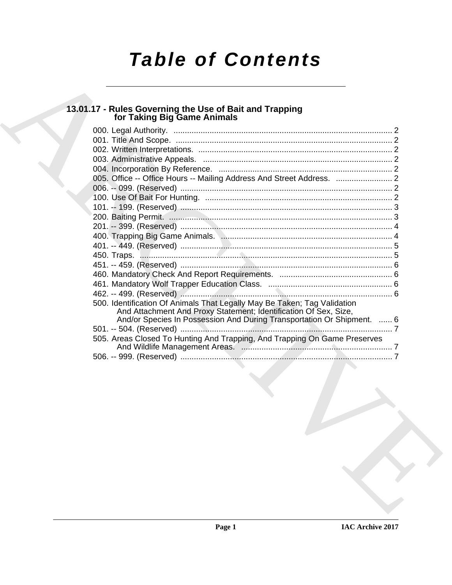# *Table of Contents*

# **13.01.17 - Rules Governing the Use of Bait and Trapping for Taking Big Game Animals**

| for Taking Big Game Animals                                                                                                                                                                                            |
|------------------------------------------------------------------------------------------------------------------------------------------------------------------------------------------------------------------------|
|                                                                                                                                                                                                                        |
|                                                                                                                                                                                                                        |
|                                                                                                                                                                                                                        |
|                                                                                                                                                                                                                        |
|                                                                                                                                                                                                                        |
|                                                                                                                                                                                                                        |
|                                                                                                                                                                                                                        |
|                                                                                                                                                                                                                        |
|                                                                                                                                                                                                                        |
|                                                                                                                                                                                                                        |
|                                                                                                                                                                                                                        |
|                                                                                                                                                                                                                        |
|                                                                                                                                                                                                                        |
|                                                                                                                                                                                                                        |
|                                                                                                                                                                                                                        |
|                                                                                                                                                                                                                        |
|                                                                                                                                                                                                                        |
| 500. Identification Of Animals That Legally May Be Taken; Tag Validation<br>And Attachment And Proxy Statement; Identification Of Sex, Size,<br>And/or Species In Possession And During Transportation Or Shipment.  6 |
|                                                                                                                                                                                                                        |
| 505. Areas Closed To Hunting And Trapping, And Trapping On Game Preserves                                                                                                                                              |
|                                                                                                                                                                                                                        |
|                                                                                                                                                                                                                        |
|                                                                                                                                                                                                                        |
|                                                                                                                                                                                                                        |
|                                                                                                                                                                                                                        |
|                                                                                                                                                                                                                        |
|                                                                                                                                                                                                                        |
|                                                                                                                                                                                                                        |
|                                                                                                                                                                                                                        |
|                                                                                                                                                                                                                        |
|                                                                                                                                                                                                                        |
|                                                                                                                                                                                                                        |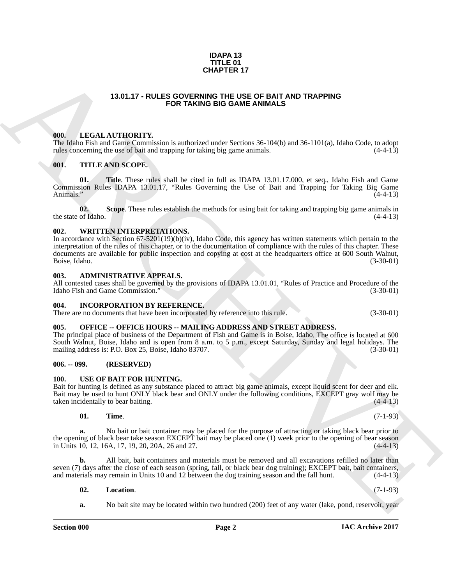#### **IDAPA 13 TITLE 01 CHAPTER 17**

#### **13.01.17 - RULES GOVERNING THE USE OF BAIT AND TRAPPING FOR TAKING BIG GAME ANIMALS**

#### <span id="page-1-1"></span><span id="page-1-0"></span>**000. LEGAL AUTHORITY.**

The Idaho Fish and Game Commission is authorized under Sections 36-104(b) and 36-1101(a), Idaho Code, to adopt rules concerning the use of bait and trapping for taking big game animals. (4-4-13) rules concerning the use of bait and trapping for taking big game animals.

#### <span id="page-1-2"></span>**001. TITLE AND SCOPE.**

**01. Title**. These rules shall be cited in full as IDAPA 13.01.17.000, et seq., Idaho Fish and Game Commission Rules IDAPA 13.01.17, "Rules Governing the Use of Bait and Trapping for Taking Big Game Animals." (4-4-13)

**02.** Scope. These rules establish the methods for using bait for taking and trapping big game animals in of Idaho.  $(4-4-13)$ the state of Idaho.

#### <span id="page-1-3"></span>**002. WRITTEN INTERPRETATIONS.**

**CHAPTER 17**<br>
13.01.17 - RULE **SOOYENNID THE USE OF BATTAND TRAPPING**<br>
113.01.17 - RULE AOR CHINNER BIG GAME ANIMALS<br>
16. LEAST AND TRAPPING<br>
16. LEAST AND THE USE CONTINUOUS INTO A CONTINUOUS INTO A CONTINUOUS INTO A CON In accordance with Section 67-5201(19)(b)(iv), Idaho Code, this agency has written statements which pertain to the interpretation of the rules of this chapter, or to the documentation of compliance with the rules of this chapter. These documents are available for public inspection and copying at cost at the headquarters office at 600 South Walnut,<br>Boise, Idaho. (3-30-01) Boise, Idaho. (3-30-01)

#### <span id="page-1-4"></span>**003. ADMINISTRATIVE APPEALS.**

All contested cases shall be governed by the provisions of IDAPA 13.01.01, "Rules of Practice and Procedure of the Idaho Fish and Game Commission." (3-30-01)

#### <span id="page-1-5"></span>**004. INCORPORATION BY REFERENCE.**

There are no documents that have been incorporated by reference into this rule. (3-30-01)

#### <span id="page-1-6"></span>**005. OFFICE -- OFFICE HOURS -- MAILING ADDRESS AND STREET ADDRESS.**

The principal place of business of the Department of Fish and Game is in Boise, Idaho. The office is located at 600 South Walnut, Boise, Idaho and is open from 8 a.m. to 5 p.m., except Saturday, Sunday and legal holidays. The mailing address is: P.O. Box 25, Boise, Idaho 83707. (3-30-01) mailing address is: P.O. Box 25, Boise, Idaho 83707.

#### <span id="page-1-7"></span>**006. -- 099. (RESERVED)**

#### <span id="page-1-9"></span><span id="page-1-8"></span>**100. USE OF BAIT FOR HUNTING.**

Bait for hunting is defined as any substance placed to attract big game animals, except liquid scent for deer and elk. Bait may be used to hunt ONLY black bear and ONLY under the following conditions, EXCEPT gray wolf may be taken incidentally to bear baiting. (4-4-13) taken incidentally to bear baiting.

#### <span id="page-1-11"></span>**01. Time**. (7-1-93)

**a.** No bait or bait container may be placed for the purpose of attracting or taking black bear prior to the opening of black bear take season EXCEPT bait may be placed one (1) week prior to the opening of bear season<br>in Units 10, 12, 16A, 17, 19, 20, 20A, 26 and 27. in Units 10, 12, 16A, 17, 19, 20, 20A, 26 and 27.

**b.** All bait, bait containers and materials must be removed and all excavations refilled no later than seven (7) days after the close of each season (spring, fall, or black bear dog training); EXCEPT bait, bait containers, and materials may remain in Units 10 and 12 between the dog training season and the fall hunt. (4-4-13)

#### <span id="page-1-10"></span>**02. Location**. (7-1-93)

**a.** No bait site may be located within two hundred (200) feet of any water (lake, pond, reservoir, year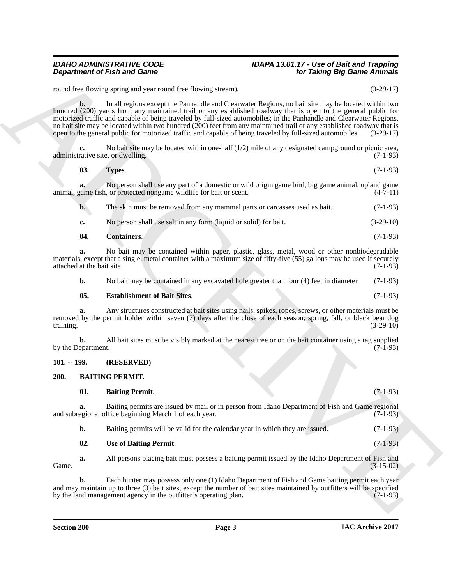### *Department of Fish and Game*

## *IDAHO ADMINISTRATIVE CODE IDAPA 13.01.17 - Use of Bait and Trapping*

round free flowing spring and year round free flowing stream). (3-29-17)

**Department of Fish and Game**<br>
Notation and the theories strength, when the contrast of the strength of the strength of the strength of the strength of the strength of the strength of the strength of the strength of the s **b.** In all regions except the Panhandle and Clearwater Regions, no bait site may be located within two hundred (200) yards from any maintained trail or any established roadway that is open to the general public for motorized traffic and capable of being traveled by full-sized automobiles; in the Panhandle and Clearwater Regions, no bait site may be located within two hundred (200) feet from any maintained trail or any established roadway that is open to the general public for motorized traffic and capable of being traveled by full-sized automobile open to the general public for motorized traffic and capable of being traveled by full-sized automobiles.

**c.** No bait site may be located within one-half (1/2) mile of any designated campground or picnic area, administrative site, or dwelling. (7-1-93)

<span id="page-2-7"></span>

| 03.<br>Types. | $(7-1-93)$ |
|---------------|------------|
|---------------|------------|

**a.** No person shall use any part of a domestic or wild origin game bird, big game animal, upland game animal, game fish, or protected nongame wildlife for bait or scent. (4-7-11)

**b.** The skin must be removed from any mammal parts or carcasses used as bait. (7-1-93)

<span id="page-2-5"></span>**c.** No person shall use salt in any form (liquid or solid) for bait. (3-29-10)

| -04.<br><b>Containers.</b> | $(7-1-93)$ |
|----------------------------|------------|
|----------------------------|------------|

**a.** No bait may be contained within paper, plastic, glass, metal, wood or other nonbiodegradable materials, except that a single, metal container with a maximum size of fifty-five (55) gallons may be used if securely attached at the bait site. (7-1-93)

**b.** No bait may be contained in any excavated hole greater than four (4) feet in diameter. (7-1-93)

#### <span id="page-2-6"></span>**05. Establishment of Bait Sites**. (7-1-93)

**a.** Any structures constructed at bait sites using nails, spikes, ropes, screws, or other materials must be removed by the permit holder within seven (7) days after the close of each season; spring, fall, or black bear dog training. (3-29-10) training. (3-29-10)

**b.** All bait sites must be visibly marked at the nearest tree or on the bait container using a tag supplied epartment. (7-1-93) by the Department.

#### <span id="page-2-0"></span>**101. -- 199. (RESERVED)**

#### <span id="page-2-2"></span><span id="page-2-1"></span>**200. BAITING PERMIT.**

<span id="page-2-3"></span>

| 01. | <b>Baiting Permit.</b>                                                                          | $(7-1-93)$ |
|-----|-------------------------------------------------------------------------------------------------|------------|
|     | Baiting permits are issued by mail or in person from Idaho Department of Fish and Game regional |            |

and subregional office beginning March 1 of each year. (7-1-93)

**b.** Baiting permits will be valid for the calendar year in which they are issued. (7-1-93)

#### <span id="page-2-4"></span>**02. Use of Baiting Permit**. (7-1-93)

**a.** All persons placing bait must possess a baiting permit issued by the Idaho Department of Fish and Game.  $(3-15-02)$ 

**b.** Each hunter may possess only one (1) Idaho Department of Fish and Game baiting permit each year and may maintain up to three (3) bait sites, except the number of bait sites maintained by outfitters will be specified<br>by the land management agency in the outfitter's operating plan. (7-1-93) by the land management agency in the outfitter's operating plan.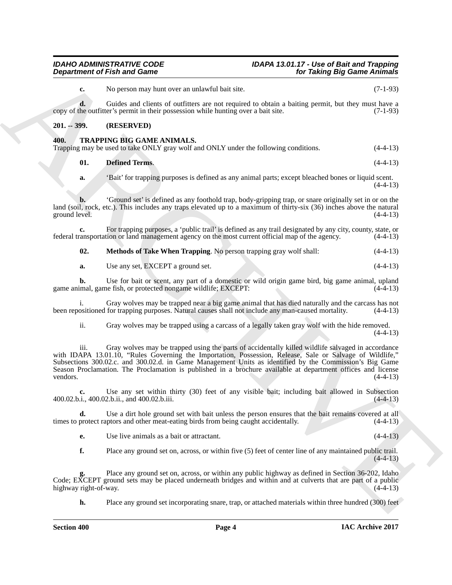<span id="page-3-4"></span><span id="page-3-3"></span><span id="page-3-2"></span>

#### <span id="page-3-1"></span><span id="page-3-0"></span>*IDAHO ADMINISTRATIVE CODE IDAPA 13.01.17 - Use of Bait and Trapping* **for Taking Big Game Animals**

|                             | <b>Department of Fish and Game</b>                                                                                                                                                                                                                                                                                                                                                                                                        | for Taking Big Game Animals |
|-----------------------------|-------------------------------------------------------------------------------------------------------------------------------------------------------------------------------------------------------------------------------------------------------------------------------------------------------------------------------------------------------------------------------------------------------------------------------------------|-----------------------------|
| c.                          | No person may hunt over an unlawful bait site.                                                                                                                                                                                                                                                                                                                                                                                            | $(7-1-93)$                  |
| d.                          | Guides and clients of outfitters are not required to obtain a baiting permit, but they must have a<br>copy of the outfitter's permit in their possession while hunting over a bait site.                                                                                                                                                                                                                                                  | $(7-1-93)$                  |
| $201. - 399.$               | (RESERVED)                                                                                                                                                                                                                                                                                                                                                                                                                                |                             |
| 400.                        | TRAPPING BIG GAME ANIMALS.<br>Trapping may be used to take ONLY gray wolf and ONLY under the following conditions.                                                                                                                                                                                                                                                                                                                        | $(4-4-13)$                  |
| 01.                         | <b>Defined Terms.</b>                                                                                                                                                                                                                                                                                                                                                                                                                     | $(4-4-13)$                  |
| a.                          | 'Bait' for trapping purposes is defined as any animal parts; except bleached bones or liquid scent.                                                                                                                                                                                                                                                                                                                                       | $(4-4-13)$                  |
| b.<br>ground level.         | 'Ground set' is defined as any foothold trap, body-gripping trap, or snare originally set in or on the<br>land (soil, rock, etc.). This includes any traps elevated up to a maximum of thirty-six (36) inches above the natural                                                                                                                                                                                                           | $(4-4-13)$                  |
| c.                          | For trapping purposes, a 'public trail' is defined as any trail designated by any city, county, state, or<br>federal transportation or land management agency on the most current official map of the agency.                                                                                                                                                                                                                             | $(4-4-13)$                  |
| 02.                         | Methods of Take When Trapping. No person trapping gray wolf shall:                                                                                                                                                                                                                                                                                                                                                                        | $(4-4-13)$                  |
| a.                          | Use any set, EXCEPT a ground set.                                                                                                                                                                                                                                                                                                                                                                                                         | $(4-4-13)$                  |
| b.                          | Use for bait or scent, any part of a domestic or wild origin game bird, big game animal, upland<br>game animal, game fish, or protected nongame wildlife; EXCEPT:                                                                                                                                                                                                                                                                         | $(4-4-13)$                  |
|                             | Gray wolves may be trapped near a big game animal that has died naturally and the carcass has not<br>been repositioned for trapping purposes. Natural causes shall not include any man-caused mortality.                                                                                                                                                                                                                                  | $(4-4-13)$                  |
| ii.                         | Gray wolves may be trapped using a carcass of a legally taken gray wolf with the hide removed.                                                                                                                                                                                                                                                                                                                                            | $(4-4-13)$                  |
| 111.<br>vendors.            | Gray wolves may be trapped using the parts of accidentally killed wildlife salvaged in accordance<br>with IDAPA 13.01.10, "Rules Governing the Importation, Possession, Release, Sale or Salvage of Wildlife,"<br>Subsections 300.02.c. and 300.02.d. in Game Management Units as identified by the Commission's Big Game<br>Season Proclamation. The Proclamation is published in a brochure available at department offices and license | $(4-4-13)$                  |
|                             | Use any set within thirty (30) feet of any visible bait; including bait allowed in Subsection<br>400.02.b.i., 400.02.b.ii., and 400.02.b.iii.                                                                                                                                                                                                                                                                                             | $(4-4-13)$                  |
| d.                          | Use a dirt hole ground set with bait unless the person ensures that the bait remains covered at all<br>times to protect raptors and other meat-eating birds from being caught accidentally.                                                                                                                                                                                                                                               | $(4-4-13)$                  |
| е.                          | Use live animals as a bait or attractant.                                                                                                                                                                                                                                                                                                                                                                                                 | $(4-4-13)$                  |
| f.                          | Place any ground set on, across, or within five (5) feet of center line of any maintained public trail.                                                                                                                                                                                                                                                                                                                                   | $(4-4-13)$                  |
| g.<br>highway right-of-way. | Place any ground set on, across, or within any public highway as defined in Section 36-202, Idaho<br>Code; EXCEPT ground sets may be placed underneath bridges and within and at culverts that are part of a public                                                                                                                                                                                                                       | $(4-4-13)$                  |
| h.                          | Place any ground set incorporating snare, trap, or attached materials within three hundred (300) feet                                                                                                                                                                                                                                                                                                                                     |                             |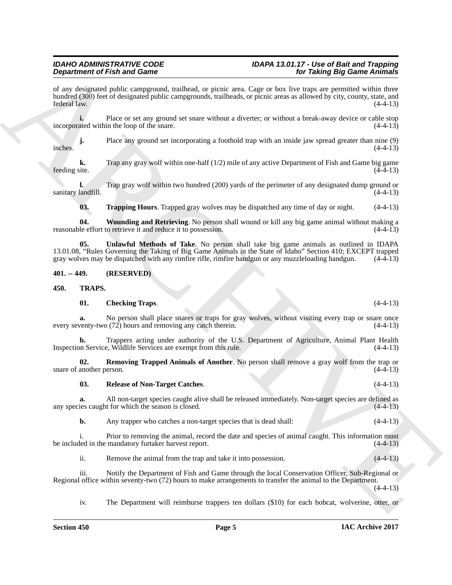### *Department of Fish and Game*

## *IDAHO ADMINISTRATIVE CODE IDAPA 13.01.17 - Use of Bait and Trapping*

**Dependention of Finding and Sammel and Sammel and Sammel and Sammel Times Theorem and Sammel And Sammel And Sammel And Sammel And Sammel And Sammel And Sammel And Sammel And Sammel And Sammel And Sammel And Sammel And Sa** of any designated public campground, trailhead, or picnic area. Cage or box live traps are permitted within three hundred (300) feet of designated public campgrounds, trailheads, or picnic areas as allowed by city, county, state, and federal law. (4-4-13) federal law. (4-4-13)

**i.** Place or set any ground set snare without a diverter; or without a break-away device or cable stop incorporated within the loop of the snare. (4-4-13)

**j.** Place any ground set incorporating a foothold trap with an inside jaw spread greater than nine (9)  $(4-4-13)$ inches.  $(4-4-13)$ 

**k.** Trap any gray wolf within one-half (1/2) mile of any active Department of Fish and Game big game (4-4-13) feeding site.

**l.** Trap gray wolf within two hundred (200) yards of the perimeter of any designated dump ground or sanitary landfill. (4-4-13)

<span id="page-4-4"></span><span id="page-4-3"></span><span id="page-4-2"></span>**03. Trapping Hours**. Trapped gray wolves may be dispatched any time of day or night. (4-4-13)

**04. Wounding and Retrieving**. No person shall wound or kill any big game animal without making a reasonable effort to retrieve it and reduce it to possession.

**05. Unlawful Methods of Take**. No person shall take big game animals as outlined in IDAPA 13.01.08, "Rules Governing the Taking of Big Game Animals in the State of Idaho" Section 410; EXCEPT trapped gray wolves may be dispatched with any rimfire rifle, rimfire handgun or any muzzleloading handgun. (4-4-13)

#### <span id="page-4-0"></span>**401. -- 449. (RESERVED)**

#### <span id="page-4-1"></span>**450. TRAPS.**

#### <span id="page-4-6"></span><span id="page-4-5"></span>**01. Checking Traps**. (4-4-13)

**a.** No person shall place snares or traps for gray wolves, without visiting every trap or snare once every seventy-two (72) hours and removing any catch therein. (4-4-13)

**b.** Trappers acting under authority of the U.S. Department of Agriculture, Animal Plant Health Inspection Service, Wildlife Services are exempt from this rule. (4-4-13)

**02. Removing Trapped Animals of Another**. No person shall remove a gray wolf from the trap or snare of another person. (4-4-13)

#### <span id="page-4-8"></span><span id="page-4-7"></span>**03. Release of Non-Target Catches**. (4-4-13)

**a.** All non-target species caught alive shall be released immediately. Non-target species are defined as is caught for which the season is closed.  $(4-4-13)$ any species caught for which the season is closed.

**b.** Any trapper who catches a non-target species that is dead shall:  $(4-4-13)$ 

i. Prior to removing the animal, record the date and species of animal caught. This information must be included in the mandatory furtaker harvest report. (4-4-13)

ii. Remove the animal from the trap and take it into possession. (4-4-13)

iii. Notify the Department of Fish and Game through the local Conservation Officer, Sub-Regional or Regional office within seventy-two (72) hours to make arrangements to transfer the animal to the Department.  $(4-4-13)$ 

iv. The Department will reimburse trappers ten dollars (\$10) for each bobcat, wolverine, otter, or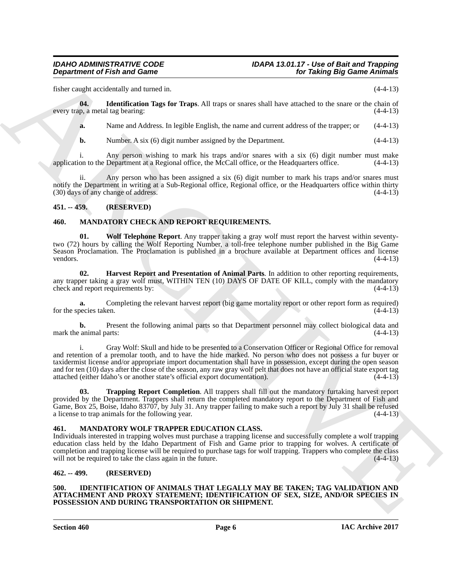### *Department of Fish and Game*

fisher caught accidentally and turned in. (4-4-13)

**04. Identification Tags for Traps**. All traps or snares shall have attached to the snare or the chain of every trap, a metal tag bearing: (4-4-13)

<span id="page-5-11"></span>**a.** Name and Address. In legible English, the name and current address of the trapper; or  $(4-4-13)$ 

**b.** Number. A six (6) digit number assigned by the Department. (4-4-13)

i. Any person wishing to mark his traps and/or snares with a six (6) digit number must make<br>on to the Department at a Regional office, the McCall office, or the Headquarters office. (4-4-13) application to the Department at a Regional office, the McCall office, or the Headquarters office.

ii. Any person who has been assigned a six (6) digit number to mark his traps and/or snares must notify the Department in writing at a Sub-Regional office, Regional office, or the Headquarters office within thirty (30) days of any change of address. (4-4-13)

#### <span id="page-5-0"></span>**451. -- 459. (RESERVED)**

#### <span id="page-5-9"></span><span id="page-5-6"></span><span id="page-5-1"></span>**460. MANDATORY CHECK AND REPORT REQUIREMENTS.**

**01. Wolf Telephone Report**. Any trapper taking a gray wolf must report the harvest within seventytwo (72) hours by calling the Wolf Reporting Number, a toll-free telephone number published in the Big Game Season Proclamation. The Proclamation is published in a brochure available at Department offices and license vendors. (4-4-13) vendors.  $(4-4-13)$ 

<span id="page-5-7"></span>**02. Harvest Report and Presentation of Animal Parts**. In addition to other reporting requirements, any trapper taking a gray wolf must, WITHIN TEN (10) DAYS OF DATE OF KILL, comply with the mandatory check and report requirements by: (4-4-13) check and report requirements by:

**a.** Completing the relevant harvest report (big game mortality report or other report form as required) opercies taken. for the species taken.

**b.** Present the following animal parts so that Department personnel may collect biological data and mark the animal parts:  $(4-4-13)$ 

**Department of Fish and Game**<br>
Linker constraints and Game<br>
Linker constraints and button in the proof Fish and the state of the state of the state of the state<br>
state and the state of the state of the state of the state i. Gray Wolf: Skull and hide to be presented to a Conservation Officer or Regional Office for removal and retention of a premolar tooth, and to have the hide marked. No person who does not possess a fur buyer or taxidermist license and/or appropriate import documentation shall have in possession, except during the open season and for ten (10) days after the close of the season, any raw gray wolf pelt that does not have an official state export tag attached (either Idaho's or another state's official export documentation). (4-4-13) attached (either Idaho's or another state's official export documentation).

<span id="page-5-8"></span>**03. Trapping Report Completion**. All trappers shall fill out the mandatory furtaking harvest report provided by the Department. Trappers shall return the completed mandatory report to the Department of Fish and Game, Box 25, Boise, Idaho 83707, by July 31. Any trapper failing to make such a report by July 31 shall be refused a license to trap animals for the following year.  $(4-4-13)$ a license to trap animals for the following year.

#### <span id="page-5-10"></span><span id="page-5-2"></span>**461. MANDATORY WOLF TRAPPER EDUCATION CLASS.**

Individuals interested in trapping wolves must purchase a trapping license and successfully complete a wolf trapping education class held by the Idaho Department of Fish and Game prior to trapping for wolves. A certificate of completion and trapping license will be required to purchase tags for wolf trapping. Trappers who complete the class will not be required to take the class again in the future. (4-4-13) will not be required to take the class again in the future.

#### <span id="page-5-3"></span>**462. -- 499. (RESERVED)**

#### <span id="page-5-5"></span><span id="page-5-4"></span>**500. IDENTIFICATION OF ANIMALS THAT LEGALLY MAY BE TAKEN; TAG VALIDATION AND ATTACHMENT AND PROXY STATEMENT; IDENTIFICATION OF SEX, SIZE, AND/OR SPECIES IN POSSESSION AND DURING TRANSPORTATION OR SHIPMENT.**

**Section 460 Page 6**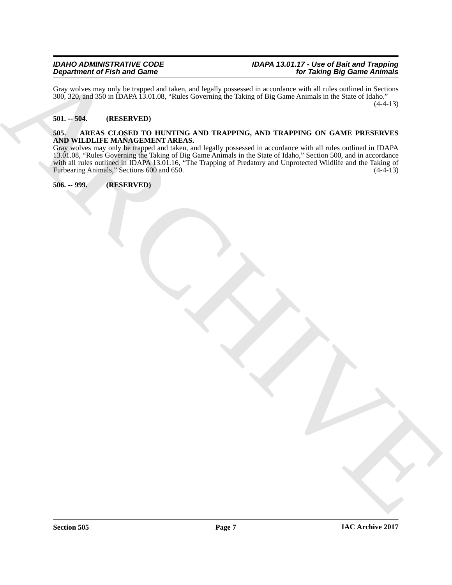Gray wolves may only be trapped and taken, and legally possessed in accordance with all rules outlined in Sections 300, 320, and 350 in IDAPA 13.01.08, "Rules Governing the Taking of Big Game Animals in the State of Idaho."  $(4-4-13)$ 

#### <span id="page-6-0"></span>**501. -- 504. (RESERVED)**

#### <span id="page-6-3"></span><span id="page-6-1"></span>**505. AREAS CLOSED TO HUNTING AND TRAPPING, AND TRAPPING ON GAME PRESERVES AND WILDLIFE MANAGEMENT AREAS.**

Department of Fish and Game<br>Six and Jin all the fish and Game<br>Six and Jin all the fish and Game<br> $\frac{1}{2}$  and  $\frac{1}{2}$  and  $\frac{1}{2}$  and  $\frac{1}{2}$  and  $\frac{1}{2}$  are presented in the first set of  $\frac{1}{2}$  and  $\frac{1}{2}$  a Gray wolves may only be trapped and taken, and legally possessed in accordance with all rules outlined in IDAPA 13.01.08, "Rules Governing the Taking of Big Game Animals in the State of Idaho," Section 500, and in accordance with all rules outlined in IDAPA 13.01.16, "The Trapping of Predatory and Unprotected Wildlife and the Taking of Furbearing Animals," Sections 600 and 650. (4-4-13)

#### <span id="page-6-2"></span>**506. -- 999. (RESERVED)**